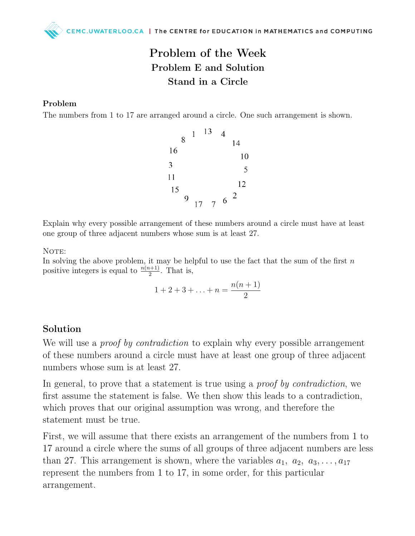## Problem of the Week Problem E and Solution Stand in a Circle

## Problem

The numbers from 1 to 17 are arranged around a circle. One such arrangement is shown.



Explain why every possible arrangement of these numbers around a circle must have at least one group of three adjacent numbers whose sum is at least 27.

NOTE:

In solving the above problem, it may be helpful to use the fact that the sum of the first  $n$ positive integers is equal to  $\frac{n(n+1)}{2}$ . That is,

$$
1 + 2 + 3 + \ldots + n = \frac{n(n+1)}{2}
$$

## Solution

We will use a *proof by contradiction* to explain why every possible arrangement of these numbers around a circle must have at least one group of three adjacent numbers whose sum is at least 27.

In general, to prove that a statement is true using a *proof by contradiction*, we first assume the statement is false. We then show this leads to a contradiction, which proves that our original assumption was wrong, and therefore the statement must be true.

First, we will assume that there exists an arrangement of the numbers from 1 to 17 around a circle where the sums of all groups of three adjacent numbers are less than 27. This arrangement is shown, where the variables  $a_1, a_2, a_3, \ldots, a_{17}$ represent the numbers from 1 to 17, in some order, for this particular arrangement.